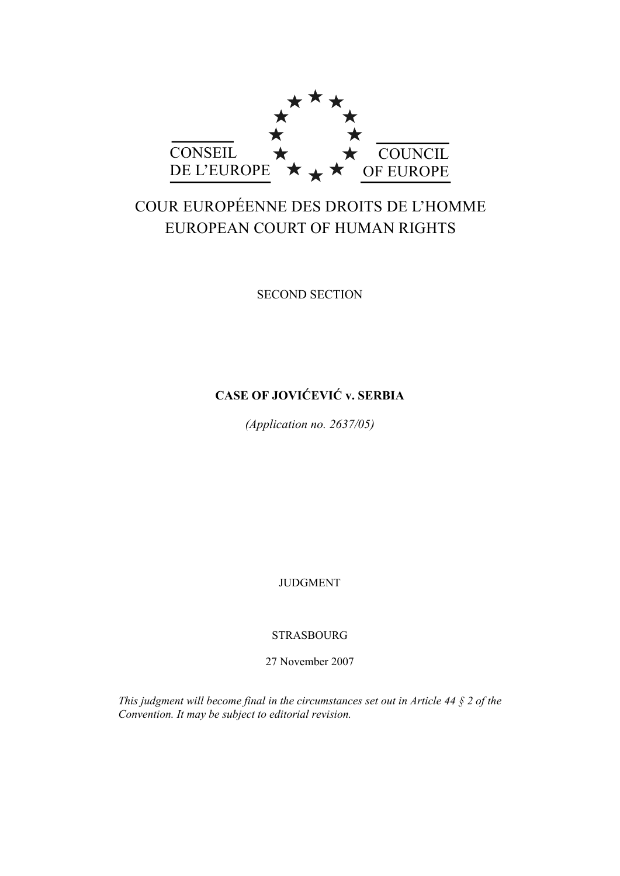

# COUR EUROPÉENNE DES DROITS DE L'HOMME EUROPEAN COURT OF HUMAN RIGHTS

SECOND SECTION

# **CASE OF JOVIĆEVIĆ v. SERBIA**

*(Application no. 2637/05)* 

JUDGMENT

STRASBOURG

27 November 2007

*This judgment will become final in the circumstances set out in Article 44 § 2 of the Convention. It may be subject to editorial revision.*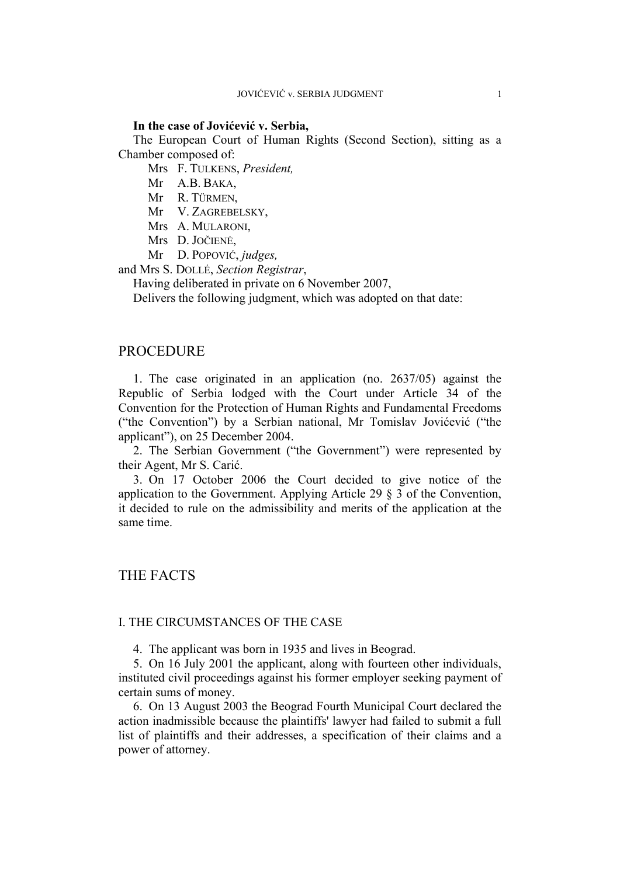### **In the case of Jovićević v. Serbia,**

The European Court of Human Rights (Second Section), sitting as a Chamber composed of:

Mrs F. TULKENS, *President,* 

- Mr A.B. BAKA,
- Mr R. TÜRMEN,

Mr V. ZAGREBELSKY,

- Mrs A. MULARONI,
- Mrs D. JOČIENĖ,
- Mr D. POPOVIĆ, *judges,*

and Mrs S. DOLLÉ, *Section Registrar*,

Having deliberated in private on 6 November 2007,

Delivers the following judgment, which was adopted on that date:

# PROCEDURE

1. The case originated in an application (no. 2637/05) against the Republic of Serbia lodged with the Court under Article 34 of the Convention for the Protection of Human Rights and Fundamental Freedoms ("the Convention") by a Serbian national, Mr Tomislav Jovićević ("the applicant"), on 25 December 2004.

2. The Serbian Government ("the Government") were represented by their Agent, Mr S. Carić.

3. On 17 October 2006 the Court decided to give notice of the application to the Government. Applying Article 29 § 3 of the Convention, it decided to rule on the admissibility and merits of the application at the same time.

# THE FACTS

### I. THE CIRCUMSTANCES OF THE CASE

4. The applicant was born in 1935 and lives in Beograd.

5. On 16 July 2001 the applicant, along with fourteen other individuals, instituted civil proceedings against his former employer seeking payment of certain sums of money.

6. On 13 August 2003 the Beograd Fourth Municipal Court declared the action inadmissible because the plaintiffs' lawyer had failed to submit a full list of plaintiffs and their addresses, a specification of their claims and a power of attorney.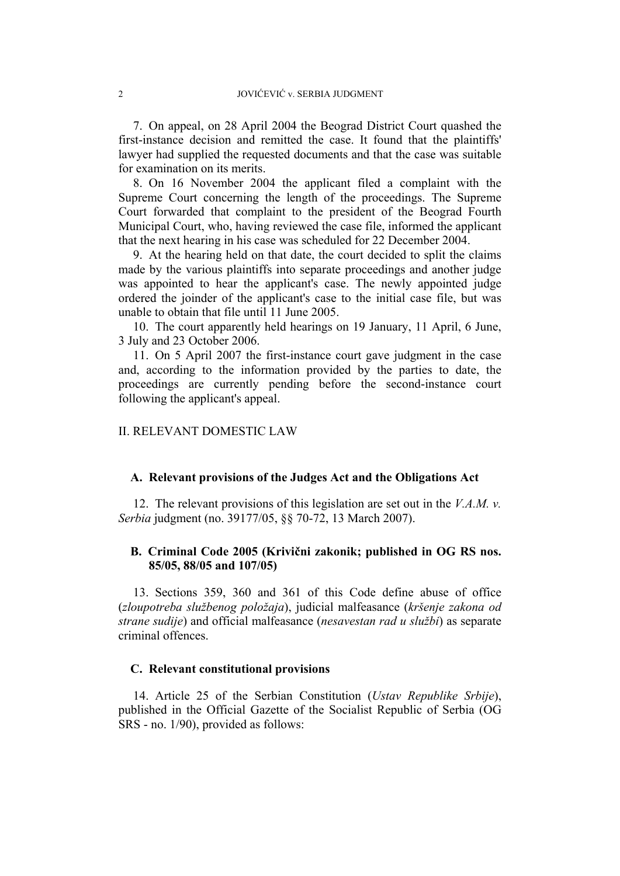7. On appeal, on 28 April 2004 the Beograd District Court quashed the first-instance decision and remitted the case. It found that the plaintiffs' lawyer had supplied the requested documents and that the case was suitable for examination on its merits.

8. On 16 November 2004 the applicant filed a complaint with the Supreme Court concerning the length of the proceedings. The Supreme Court forwarded that complaint to the president of the Beograd Fourth Municipal Court, who, having reviewed the case file, informed the applicant that the next hearing in his case was scheduled for 22 December 2004.

9. At the hearing held on that date, the court decided to split the claims made by the various plaintiffs into separate proceedings and another judge was appointed to hear the applicant's case. The newly appointed judge ordered the joinder of the applicant's case to the initial case file, but was unable to obtain that file until 11 June 2005.

10. The court apparently held hearings on 19 January, 11 April, 6 June, 3 July and 23 October 2006.

11. On 5 April 2007 the first-instance court gave judgment in the case and, according to the information provided by the parties to date, the proceedings are currently pending before the second-instance court following the applicant's appeal.

# II. RELEVANT DOMESTIC LAW

#### **A. Relevant provisions of the Judges Act and the Obligations Act**

12. The relevant provisions of this legislation are set out in the *V.A.M. v. Serbia* judgment (no. 39177/05, §§ 70-72, 13 March 2007).

# **B. Criminal Code 2005 (Krivični zakonik; published in OG RS nos. 85/05, 88/05 and 107/05)**

13. Sections 359, 360 and 361 of this Code define abuse of office (*zloupotreba službenog položaja*), judicial malfeasance (*kršenje zakona od strane sudije*) and official malfeasance (*nesavestan rad u službi*) as separate criminal offences.

#### **C. Relevant constitutional provisions**

14. Article 25 of the Serbian Constitution (*Ustav Republike Srbije*), published in the Official Gazette of the Socialist Republic of Serbia (OG SRS - no. 1/90), provided as follows: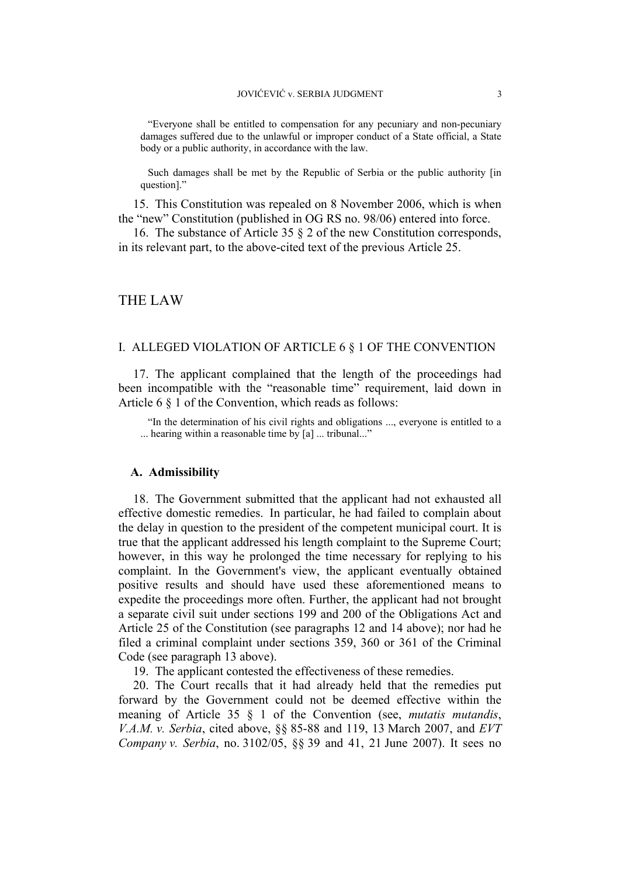"Everyone shall be entitled to compensation for any pecuniary and non-pecuniary damages suffered due to the unlawful or improper conduct of a State official, a State body or a public authority, in accordance with the law.

Such damages shall be met by the Republic of Serbia or the public authority [in question]."

15. This Constitution was repealed on 8 November 2006, which is when the "new" Constitution (published in OG RS no. 98/06) entered into force.

16. The substance of Article 35 § 2 of the new Constitution corresponds, in its relevant part, to the above-cited text of the previous Article 25.

#### THE LAW

#### I. ALLEGED VIOLATION OF ARTICLE 6 § 1 OF THE CONVENTION

17. The applicant complained that the length of the proceedings had been incompatible with the "reasonable time" requirement, laid down in Article 6 § 1 of the Convention, which reads as follows:

"In the determination of his civil rights and obligations ..., everyone is entitled to a ... hearing within a reasonable time by [a] ... tribunal..."

### **A. Admissibility**

18. The Government submitted that the applicant had not exhausted all effective domestic remedies. In particular, he had failed to complain about the delay in question to the president of the competent municipal court. It is true that the applicant addressed his length complaint to the Supreme Court; however, in this way he prolonged the time necessary for replying to his complaint. In the Government's view, the applicant eventually obtained positive results and should have used these aforementioned means to expedite the proceedings more often. Further, the applicant had not brought a separate civil suit under sections 199 and 200 of the Obligations Act and Article 25 of the Constitution (see paragraphs 12 and 14 above); nor had he filed a criminal complaint under sections 359, 360 or 361 of the Criminal Code (see paragraph 13 above).

19. The applicant contested the effectiveness of these remedies.

20. The Court recalls that it had already held that the remedies put forward by the Government could not be deemed effective within the meaning of Article 35 § 1 of the Convention (see, *mutatis mutandis*, *V.A.M. v. Serbia*, cited above, §§ 85-88 and 119, 13 March 2007, and *EVT Company v. Serbia*, no. 3102/05, §§ 39 and 41, 21 June 2007). It sees no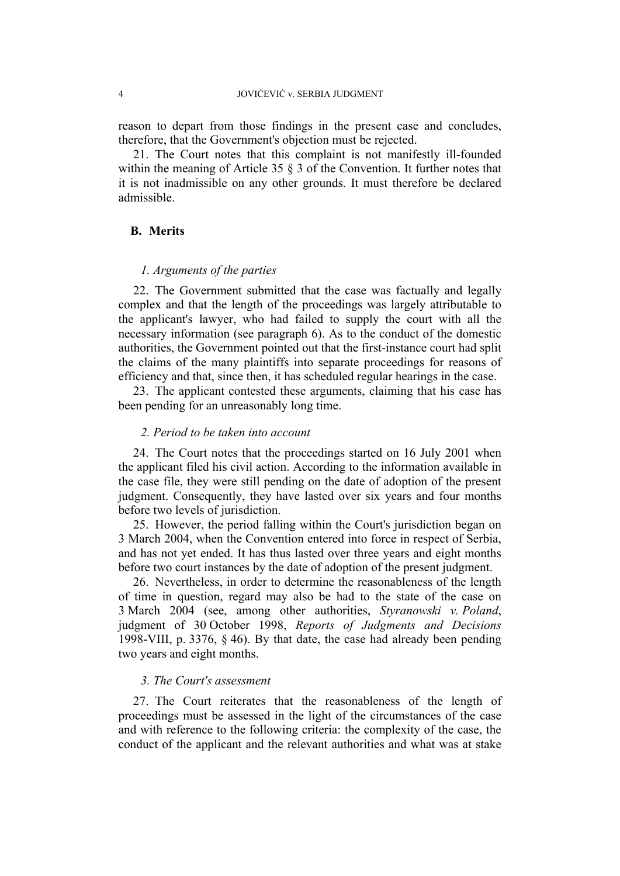reason to depart from those findings in the present case and concludes, therefore, that the Government's objection must be rejected.

21. The Court notes that this complaint is not manifestly ill-founded within the meaning of Article 35  $\S$  3 of the Convention. It further notes that it is not inadmissible on any other grounds. It must therefore be declared admissible.

# **B. Merits**

# *1. Arguments of the parties*

22. The Government submitted that the case was factually and legally complex and that the length of the proceedings was largely attributable to the applicant's lawyer, who had failed to supply the court with all the necessary information (see paragraph 6). As to the conduct of the domestic authorities, the Government pointed out that the first-instance court had split the claims of the many plaintiffs into separate proceedings for reasons of efficiency and that, since then, it has scheduled regular hearings in the case.

23. The applicant contested these arguments, claiming that his case has been pending for an unreasonably long time.

### *2. Period to be taken into account*

24. The Court notes that the proceedings started on 16 July 2001 when the applicant filed his civil action. According to the information available in the case file, they were still pending on the date of adoption of the present judgment. Consequently, they have lasted over six years and four months before two levels of jurisdiction.

25. However, the period falling within the Court's jurisdiction began on 3 March 2004, when the Convention entered into force in respect of Serbia, and has not yet ended. It has thus lasted over three years and eight months before two court instances by the date of adoption of the present judgment.

26. Nevertheless, in order to determine the reasonableness of the length of time in question, regard may also be had to the state of the case on 3 March 2004 (see, among other authorities, *Styranowski v. Poland*, judgment of 30 October 1998, *Reports of Judgments and Decisions* 1998-VIII, p. 3376, § 46). By that date, the case had already been pending two years and eight months.

### *3. The Court's assessment*

27. The Court reiterates that the reasonableness of the length of proceedings must be assessed in the light of the circumstances of the case and with reference to the following criteria: the complexity of the case, the conduct of the applicant and the relevant authorities and what was at stake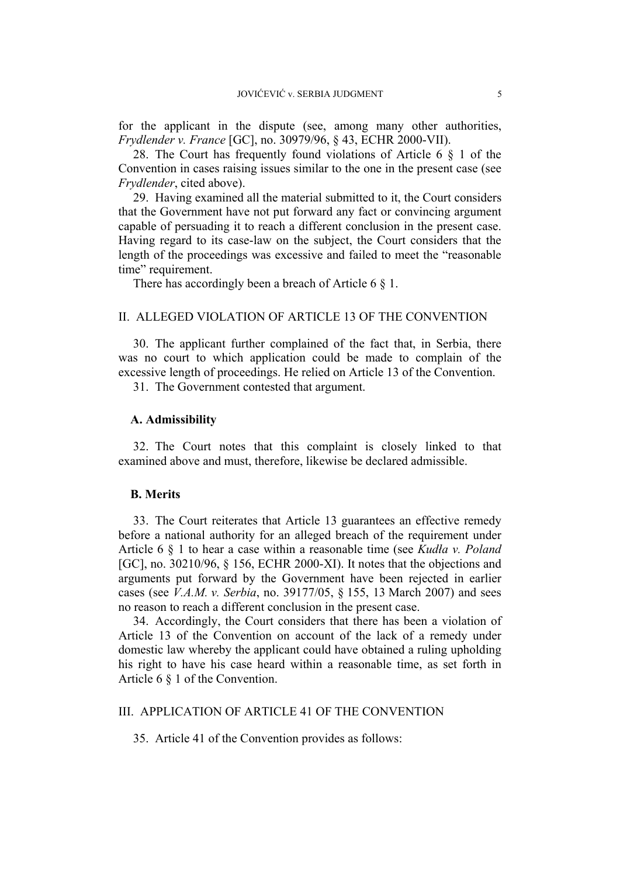for the applicant in the dispute (see, among many other authorities, *Frydlender v. France* [GC], no. 30979/96, § 43, ECHR 2000-VII).

28. The Court has frequently found violations of Article 6 § 1 of the Convention in cases raising issues similar to the one in the present case (see *Frydlender*, cited above).

29. Having examined all the material submitted to it, the Court considers that the Government have not put forward any fact or convincing argument capable of persuading it to reach a different conclusion in the present case. Having regard to its case-law on the subject, the Court considers that the length of the proceedings was excessive and failed to meet the "reasonable time" requirement.

There has accordingly been a breach of Article 6  $\S$  1.

# II. ALLEGED VIOLATION OF ARTICLE 13 OF THE CONVENTION

30. The applicant further complained of the fact that, in Serbia, there was no court to which application could be made to complain of the excessive length of proceedings. He relied on Article 13 of the Convention.

31. The Government contested that argument.

#### **A. Admissibility**

32. The Court notes that this complaint is closely linked to that examined above and must, therefore, likewise be declared admissible.

#### **B. Merits**

33. The Court reiterates that Article 13 guarantees an effective remedy before a national authority for an alleged breach of the requirement under Article 6 § 1 to hear a case within a reasonable time (see *Kudła v. Poland* [GC], no. 30210/96, § 156, ECHR 2000-XI). It notes that the objections and arguments put forward by the Government have been rejected in earlier cases (see *V.A.M. v. Serbia*, no. 39177/05, § 155, 13 March 2007) and sees no reason to reach a different conclusion in the present case.

34. Accordingly, the Court considers that there has been a violation of Article 13 of the Convention on account of the lack of a remedy under domestic law whereby the applicant could have obtained a ruling upholding his right to have his case heard within a reasonable time, as set forth in Article 6 § 1 of the Convention.

# III. APPLICATION OF ARTICLE 41 OF THE CONVENTION

35. Article 41 of the Convention provides as follows: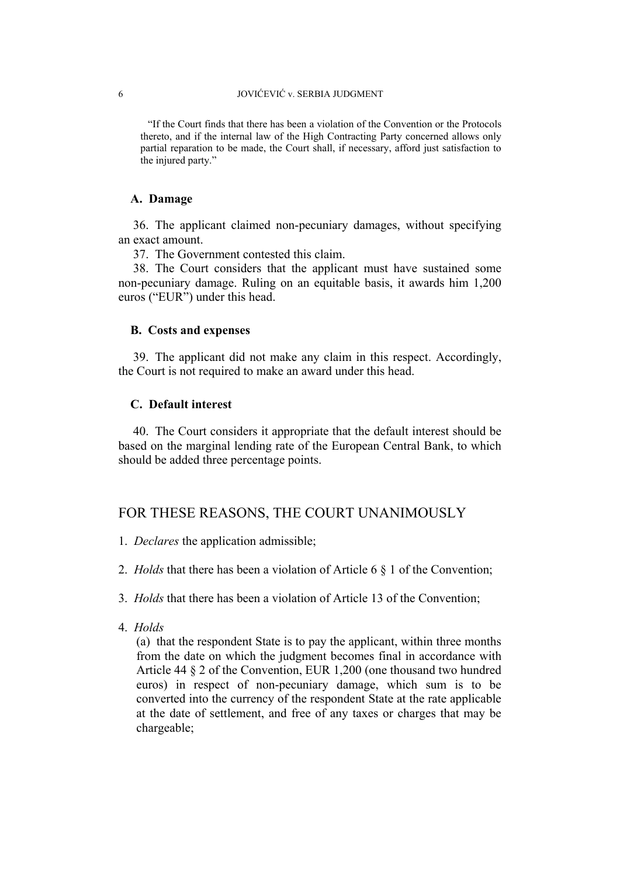"If the Court finds that there has been a violation of the Convention or the Protocols thereto, and if the internal law of the High Contracting Party concerned allows only partial reparation to be made, the Court shall, if necessary, afford just satisfaction to the injured party."

# **A. Damage**

36. The applicant claimed non-pecuniary damages, without specifying an exact amount.

37. The Government contested this claim.

38. The Court considers that the applicant must have sustained some non-pecuniary damage. Ruling on an equitable basis, it awards him 1,200 euros ("EUR") under this head.

#### **B. Costs and expenses**

39. The applicant did not make any claim in this respect. Accordingly, the Court is not required to make an award under this head.

# **C. Default interest**

40. The Court considers it appropriate that the default interest should be based on the marginal lending rate of the European Central Bank, to which should be added three percentage points.

# FOR THESE REASONS, THE COURT UNANIMOUSLY

- 1. *Declares* the application admissible;
- 2. *Holds* that there has been a violation of Article 6 § 1 of the Convention;
- 3. *Holds* that there has been a violation of Article 13 of the Convention;
- 4. *Holds*

(a) that the respondent State is to pay the applicant, within three months from the date on which the judgment becomes final in accordance with Article 44 § 2 of the Convention, EUR 1,200 (one thousand two hundred euros) in respect of non-pecuniary damage, which sum is to be converted into the currency of the respondent State at the rate applicable at the date of settlement, and free of any taxes or charges that may be chargeable;